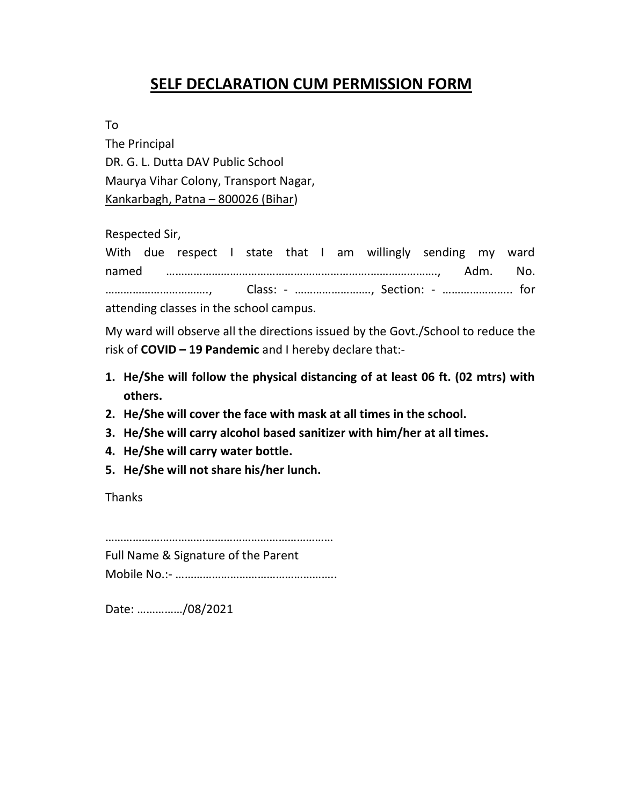## **SELF DECLARATION CUM PERMISSION FORM**

To

The Principal DR. G. L. Dutta DAV Public School Maurya Vihar Colony, Transport Nagar, Kankarbagh, Patna – 800026 (Bihar)

Respected Sir,

With due respect I state that I am willingly sending my ward named ………………………………………………………….…………………., Adm. No. ……………………………., Class: - ……………………., Section: - ………………….. for attending classes in the school campus.

My ward will observe all the directions issued by the Govt./School to reduce the risk of **COVID – 19 Pandemic** and I hereby declare that:-

- **1. He/She will follow the physical distancing of at least 06 ft. (02 mtrs) with others.**
- **2. He/She will cover the face with mask at all times in the school.**
- **3. He/She will carry alcohol based sanitizer with him/her at all times.**
- **4. He/She will carry water bottle.**
- **5. He/She will not share his/her lunch.**

Thanks

…………………………………………………………………

Full Name & Signature of the Parent

Mobile No.:- ……………………………………………..

Date: ……………/08/2021